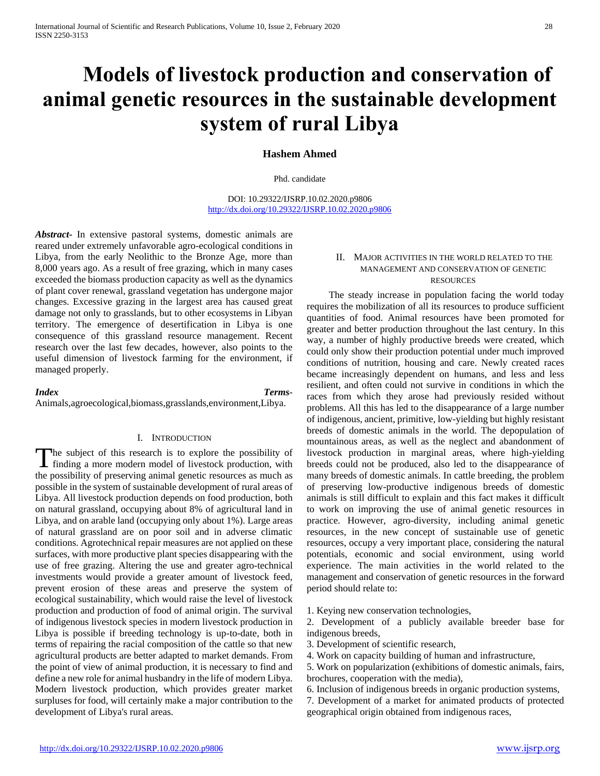# **Models of livestock production and conservation of animal genetic resources in the sustainable development system of rural Libya**

# **Hashem Ahmed**

Phd. candidate

DOI: 10.29322/IJSRP.10.02.2020.p9806 <http://dx.doi.org/10.29322/IJSRP.10.02.2020.p9806>

*Abstract***-** In extensive pastoral systems, domestic animals are reared under extremely unfavorable agro-ecological conditions in Libya, from the early Neolithic to the Bronze Age, more than 8,000 years ago. As a result of free grazing, which in many cases exceeded the biomass production capacity as well as the dynamics of plant cover renewal, grassland vegetation has undergone major changes. Excessive grazing in the largest area has caused great damage not only to grasslands, but to other ecosystems in Libyan territory. The emergence of desertification in Libya is one consequence of this grassland resource management. Recent research over the last few decades, however, also points to the useful dimension of livestock farming for the environment, if managed properly.

# *Index Terms*-

Animals,agroecological,biomass,grasslands,environment,Libya.

#### I. INTRODUCTION

The subject of this research is to explore the possibility of The subject of this research is to explore the possibility of finding a more modern model of livestock production, with the possibility of preserving animal genetic resources as much as possible in the system of sustainable development of rural areas of Libya. All livestock production depends on food production, both on natural grassland, occupying about 8% of agricultural land in Libya, and on arable land (occupying only about 1%). Large areas of natural grassland are on poor soil and in adverse climatic conditions. Agrotechnical repair measures are not applied on these surfaces, with more productive plant species disappearing with the use of free grazing. Altering the use and greater agro-technical investments would provide a greater amount of livestock feed, prevent erosion of these areas and preserve the system of ecological sustainability, which would raise the level of livestock production and production of food of animal origin. The survival of indigenous livestock species in modern livestock production in Libya is possible if breeding technology is up-to-date, both in terms of repairing the racial composition of the cattle so that new agricultural products are better adapted to market demands. From the point of view of animal production, it is necessary to find and define a new role for animal husbandry in the life of modern Libya. Modern livestock production, which provides greater market surpluses for food, will certainly make a major contribution to the development of Libya's rural areas.

#### II. MAJOR ACTIVITIES IN THE WORLD RELATED TO THE MANAGEMENT AND CONSERVATION OF GENETIC RESOURCES

 The steady increase in population facing the world today requires the mobilization of all its resources to produce sufficient quantities of food. Animal resources have been promoted for greater and better production throughout the last century. In this way, a number of highly productive breeds were created, which could only show their production potential under much improved conditions of nutrition, housing and care. Newly created races became increasingly dependent on humans, and less and less resilient, and often could not survive in conditions in which the races from which they arose had previously resided without problems. All this has led to the disappearance of a large number of indigenous, ancient, primitive, low-yielding but highly resistant breeds of domestic animals in the world. The depopulation of mountainous areas, as well as the neglect and abandonment of livestock production in marginal areas, where high-yielding breeds could not be produced, also led to the disappearance of many breeds of domestic animals. In cattle breeding, the problem of preserving low-productive indigenous breeds of domestic animals is still difficult to explain and this fact makes it difficult to work on improving the use of animal genetic resources in practice. However, agro-diversity, including animal genetic resources, in the new concept of sustainable use of genetic resources, occupy a very important place, considering the natural potentials, economic and social environment, using world experience. The main activities in the world related to the management and conservation of genetic resources in the forward period should relate to:

1. Keying new conservation technologies,

2. Development of a publicly available breeder base for indigenous breeds,

3. Development of scientific research,

4. Work on capacity building of human and infrastructure,

5. Work on popularization (exhibitions of domestic animals, fairs, brochures, cooperation with the media),

6. Inclusion of indigenous breeds in organic production systems,

7. Development of a market for animated products of protected geographical origin obtained from indigenous races,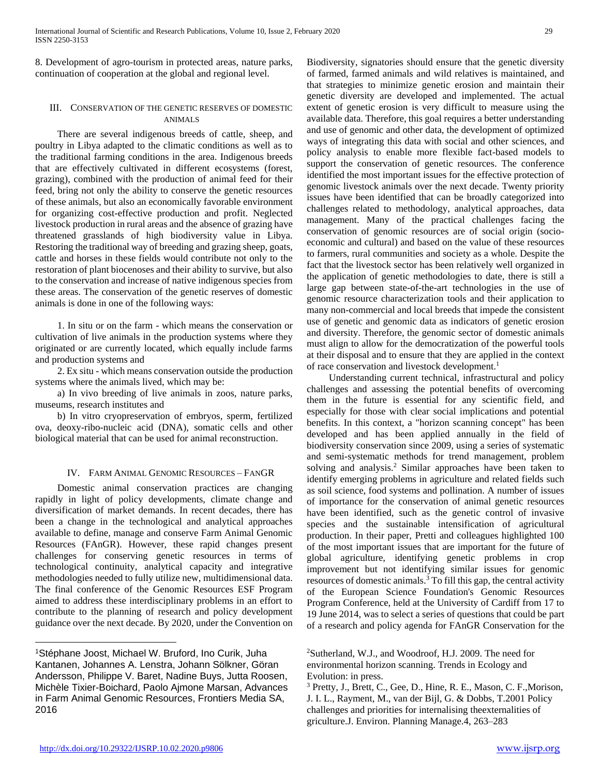8. Development of agro-tourism in protected areas, nature parks, continuation of cooperation at the global and regional level.

### III. CONSERVATION OF THE GENETIC RESERVES OF DOMESTIC ANIMALS

 There are several indigenous breeds of cattle, sheep, and poultry in Libya adapted to the climatic conditions as well as to the traditional farming conditions in the area. Indigenous breeds that are effectively cultivated in different ecosystems (forest, grazing), combined with the production of animal feed for their feed, bring not only the ability to conserve the genetic resources of these animals, but also an economically favorable environment for organizing cost-effective production and profit. Neglected livestock production in rural areas and the absence of grazing have threatened grasslands of high biodiversity value in Libya. Restoring the traditional way of breeding and grazing sheep, goats, cattle and horses in these fields would contribute not only to the restoration of plant biocenoses and their ability to survive, but also to the conservation and increase of native indigenous species from these areas. The conservation of the genetic reserves of domestic animals is done in one of the following ways:

 1. In situ or on the farm - which means the conservation or cultivation of live animals in the production systems where they originated or are currently located, which equally include farms and production systems and

 2. Ex situ - which means conservation outside the production systems where the animals lived, which may be:

 a) In vivo breeding of live animals in zoos, nature parks, museums, research institutes and

 b) In vitro cryopreservation of embryos, sperm, fertilized ova, deoxy-ribo-nucleic acid (DNA), somatic cells and other biological material that can be used for animal reconstruction.

### IV. FARM ANIMAL GENOMIC RESOURCES – FANGR

 Domestic animal conservation practices are changing rapidly in light of policy developments, climate change and diversification of market demands. In recent decades, there has been a change in the technological and analytical approaches available to define, manage and conserve Farm Animal Genomic Resources (FAnGR). However, these rapid changes present challenges for conserving genetic resources in terms of technological continuity, analytical capacity and integrative methodologies needed to fully utilize new, multidimensional data. The final conference of the Genomic Resources ESF Program aimed to address these interdisciplinary problems in an effort to contribute to the planning of research and policy development guidance over the next decade. By 2020, under the Convention on Biodiversity, signatories should ensure that the genetic diversity of farmed, farmed animals and wild relatives is maintained, and that strategies to minimize genetic erosion and maintain their genetic diversity are developed and implemented. The actual extent of genetic erosion is very difficult to measure using the available data. Therefore, this goal requires a better understanding and use of genomic and other data, the development of optimized ways of integrating this data with social and other sciences, and policy analysis to enable more flexible fact-based models to support the conservation of genetic resources. The conference identified the most important issues for the effective protection of genomic livestock animals over the next decade. Twenty priority issues have been identified that can be broadly categorized into challenges related to methodology, analytical approaches, data management. Many of the practical challenges facing the conservation of genomic resources are of social origin (socioeconomic and cultural) and based on the value of these resources to farmers, rural communities and society as a whole. Despite the fact that the livestock sector has been relatively well organized in the application of genetic methodologies to date, there is still a large gap between state-of-the-art technologies in the use of genomic resource characterization tools and their application to many non-commercial and local breeds that impede the consistent use of genetic and genomic data as indicators of genetic erosion and diversity. Therefore, the genomic sector of domestic animals must align to allow for the democratization of the powerful tools at their disposal and to ensure that they are applied in the context of race conservation and livestock development.<sup>1</sup>

 Understanding current technical, infrastructural and policy challenges and assessing the potential benefits of overcoming them in the future is essential for any scientific field, and especially for those with clear social implications and potential benefits. In this context, a "horizon scanning concept" has been developed and has been applied annually in the field of biodiversity conservation since 2009, using a series of systematic and semi-systematic methods for trend management, problem solving and analysis.<sup>2</sup> Similar approaches have been taken to identify emerging problems in agriculture and related fields such as soil science, food systems and pollination. A number of issues of importance for the conservation of animal genetic resources have been identified, such as the genetic control of invasive species and the sustainable intensification of agricultural production. In their paper, Pretti and colleagues highlighted 100 of the most important issues that are important for the future of global agriculture, identifying genetic problems in crop improvement but not identifying similar issues for genomic resources of domestic animals.<sup>3</sup> To fill this gap, the central activity of the European Science Foundation's Genomic Resources Program Conference, held at the University of Cardiff from 17 to 19 June 2014, was to select a series of questions that could be part of a research and policy agenda for FAnGR Conservation for the

 $\overline{a}$ 

<sup>1</sup>Stéphane Joost, Michael W. Bruford, Ino Curik, Juha Kantanen, Johannes A. Lenstra, Johann Sölkner, Göran Andersson, Philippe V. Baret, Nadine Buys, Jutta Roosen, Michèle Tixier-Boichard, Paolo Ajmone Marsan, Advances in Farm Animal Genomic Resources, Frontiers Media SA, 2016

<sup>2</sup>Sutherland, W.J., and Woodroof, H.J. 2009. The need for environmental horizon scanning. Trends in Ecology and Evolution: in press.

<sup>3</sup> Pretty, J., Brett, C., Gee, D., Hine, R. E., Mason, C. F.,Morison, J. I. L., Rayment, M., van der Bijl, G. & Dobbs, T.2001 Policy challenges and priorities for internalising theexternalities of griculture.J. Environ. Planning Manage.4, 263–283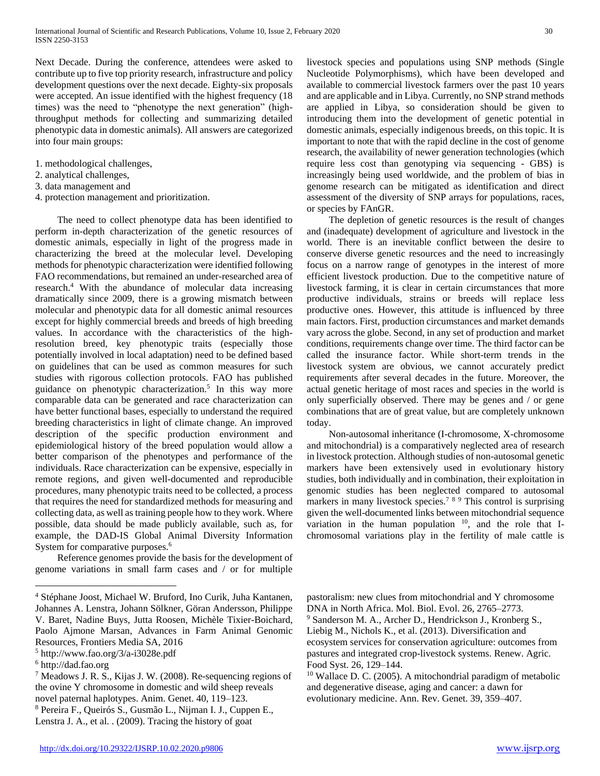Next Decade. During the conference, attendees were asked to contribute up to five top priority research, infrastructure and policy development questions over the next decade. Eighty-six proposals were accepted. An issue identified with the highest frequency (18 times) was the need to "phenotype the next generation" (highthroughput methods for collecting and summarizing detailed phenotypic data in domestic animals). All answers are categorized into four main groups:

- 1. methodological challenges,
- 2. analytical challenges,
- 3. data management and
- 4. protection management and prioritization.

 The need to collect phenotype data has been identified to perform in-depth characterization of the genetic resources of domestic animals, especially in light of the progress made in characterizing the breed at the molecular level. Developing methods for phenotypic characterization were identified following FAO recommendations, but remained an under-researched area of research.<sup>4</sup> With the abundance of molecular data increasing dramatically since 2009, there is a growing mismatch between molecular and phenotypic data for all domestic animal resources except for highly commercial breeds and breeds of high breeding values. In accordance with the characteristics of the highresolution breed, key phenotypic traits (especially those potentially involved in local adaptation) need to be defined based on guidelines that can be used as common measures for such studies with rigorous collection protocols. FAO has published guidance on phenotypic characterization.<sup>5</sup> In this way more comparable data can be generated and race characterization can have better functional bases, especially to understand the required breeding characteristics in light of climate change. An improved description of the specific production environment and epidemiological history of the breed population would allow a better comparison of the phenotypes and performance of the individuals. Race characterization can be expensive, especially in remote regions, and given well-documented and reproducible procedures, many phenotypic traits need to be collected, a process that requires the need for standardized methods for measuring and collecting data, as well as training people how to they work. Where possible, data should be made publicly available, such as, for example, the DAD-IS Global Animal Diversity Information System for comparative purposes.<sup>6</sup>

 Reference genomes provide the basis for the development of genome variations in small farm cases and / or for multiple

 $\overline{a}$ 

livestock species and populations using SNP methods (Single Nucleotide Polymorphisms), which have been developed and available to commercial livestock farmers over the past 10 years and are applicable and in Libya. Currently, no SNP strand methods are applied in Libya, so consideration should be given to introducing them into the development of genetic potential in domestic animals, especially indigenous breeds, on this topic. It is important to note that with the rapid decline in the cost of genome research, the availability of newer generation technologies (which require less cost than genotyping via sequencing - GBS) is increasingly being used worldwide, and the problem of bias in genome research can be mitigated as identification and direct assessment of the diversity of SNP arrays for populations, races, or species by FAnGR.

 The depletion of genetic resources is the result of changes and (inadequate) development of agriculture and livestock in the world. There is an inevitable conflict between the desire to conserve diverse genetic resources and the need to increasingly focus on a narrow range of genotypes in the interest of more efficient livestock production. Due to the competitive nature of livestock farming, it is clear in certain circumstances that more productive individuals, strains or breeds will replace less productive ones. However, this attitude is influenced by three main factors. First, production circumstances and market demands vary across the globe. Second, in any set of production and market conditions, requirements change over time. The third factor can be called the insurance factor. While short-term trends in the livestock system are obvious, we cannot accurately predict requirements after several decades in the future. Moreover, the actual genetic heritage of most races and species in the world is only superficially observed. There may be genes and / or gene combinations that are of great value, but are completely unknown today.

 Non-autosomal inheritance (I-chromosome, X-chromosome and mitochondrial) is a comparatively neglected area of research in livestock protection. Although studies of non-autosomal genetic markers have been extensively used in evolutionary history studies, both individually and in combination, their exploitation in genomic studies has been neglected compared to autosomal markers in many livestock species.<sup>789</sup> This control is surprising given the well-documented links between mitochondrial sequence variation in the human population  $10$ , and the role that Ichromosomal variations play in the fertility of male cattle is

pastoralism: new clues from mitochondrial and Y chromosome DNA in North Africa. Mol. Biol. Evol. 26, 2765–2773. <sup>9</sup> Sanderson M. A., Archer D., Hendrickson J., Kronberg S., Liebig M., Nichols K., et al. (2013). Diversification and ecosystem services for conservation agriculture: outcomes from

pastures and integrated crop-livestock systems. Renew. Agric. Food Syst. 26, 129–144. <sup>10</sup> Wallace D. C. (2005). A mitochondrial paradigm of metabolic

<sup>4</sup> Stéphane Joost, Michael W. Bruford, Ino Curik, Juha Kantanen, Johannes A. Lenstra, Johann Sölkner, Göran Andersson, Philippe V. Baret, Nadine Buys, Jutta Roosen, Michèle Tixier-Boichard, Paolo Ajmone Marsan, Advances in Farm Animal Genomic Resources, Frontiers Media SA, 2016

<sup>5</sup> http://www.fao.org/3/a-i3028e.pdf

<sup>6</sup> http://dad.fao.org

<sup>7</sup> Meadows J. R. S., Kijas J. W. (2008). Re-sequencing regions of the ovine Y chromosome in domestic and wild sheep reveals novel paternal haplotypes. Anim. Genet. 40, 119–123.

<sup>8</sup> Pereira F., Queirós S., Gusmão L., Nijman I. J., Cuppen E., Lenstra J. A., et al. . (2009). Tracing the history of goat

and degenerative disease, aging and cancer: a dawn for evolutionary medicine. Ann. Rev. Genet. 39, 359–407.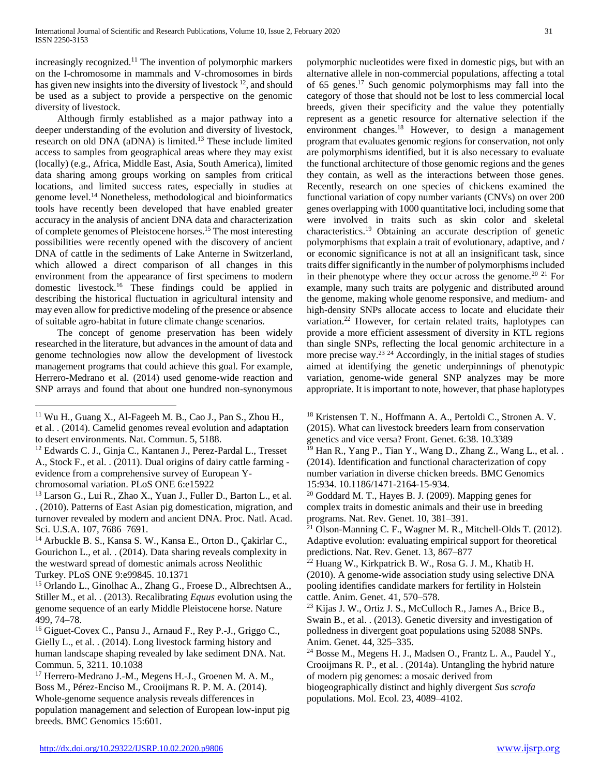increasingly recognized.<sup>11</sup> The invention of polymorphic markers on the I-chromosome in mammals and V-chromosomes in birds has given new insights into the diversity of livestock <sup>12</sup>, and should be used as a subject to provide a perspective on the genomic diversity of livestock.

 Although firmly established as a major pathway into a deeper understanding of the evolution and diversity of livestock, research on old DNA (aDNA) is limited.<sup>13</sup> These include limited access to samples from geographical areas where they may exist (locally) (e.g., Africa, Middle East, Asia, South America), limited data sharing among groups working on samples from critical locations, and limited success rates, especially in studies at genome level.<sup>14</sup> Nonetheless, methodological and bioinformatics tools have recently been developed that have enabled greater accuracy in the analysis of ancient DNA data and characterization of complete genomes of Pleistocene horses.<sup>15</sup> The most interesting possibilities were recently opened with the discovery of ancient DNA of cattle in the sediments of Lake Anterne in Switzerland, which allowed a direct comparison of all changes in this environment from the appearance of first specimens to modern domestic livestock.<sup>16</sup> These findings could be applied in describing the historical fluctuation in agricultural intensity and may even allow for predictive modeling of the presence or absence of suitable agro-habitat in future climate change scenarios.

 The concept of genome preservation has been widely researched in the literature, but advances in the amount of data and genome technologies now allow the development of livestock management programs that could achieve this goal. For example, Herrero-Medrano et al. (2014) used genome-wide reaction and SNP arrays and found that about one hundred non-synonymous

 $\overline{a}$ 

<sup>14</sup> Arbuckle B. S., Kansa S. W., Kansa E., Orton D., Çakirlar C., Gourichon L., et al. . (2014). Data sharing reveals complexity in the westward spread of domestic animals across Neolithic Turkey. PLoS ONE 9:e99845. 10.1371

<sup>15</sup> Orlando L., Ginolhac A., Zhang G., Froese D., Albrechtsen A., Stiller M., et al. . (2013). Recalibrating *Equus* evolution using the genome sequence of an early Middle Pleistocene horse. Nature 499, 74–78.

<sup>16</sup> Giguet-Covex C., Pansu J., Arnaud F., Rey P.-J., Griggo C., Gielly L., et al. . (2014). Long livestock farming history and human landscape shaping revealed by lake sediment DNA. Nat. Commun. 5, 3211. 10.1038

<sup>17</sup> Herrero-Medrano J.-M., Megens H.-J., Groenen M. A. M., Boss M., Pérez-Enciso M., Crooijmans R. P. M. A. (2014). Whole-genome sequence analysis reveals differences in population management and selection of European low-input pig breeds. BMC Genomics 15:601.

polymorphic nucleotides were fixed in domestic pigs, but with an alternative allele in non-commercial populations, affecting a total of 65 genes.<sup>17</sup> Such genomic polymorphisms may fall into the category of those that should not be lost to less commercial local breeds, given their specificity and the value they potentially represent as a genetic resource for alternative selection if the environment changes.<sup>18</sup> However, to design a management program that evaluates genomic regions for conservation, not only are polymorphisms identified, but it is also necessary to evaluate the functional architecture of those genomic regions and the genes they contain, as well as the interactions between those genes. Recently, research on one species of chickens examined the functional variation of copy number variants (CNVs) on over 200 genes overlapping with 1000 quantitative loci, including some that were involved in traits such as skin color and skeletal characteristics.<sup>19</sup> Obtaining an accurate description of genetic polymorphisms that explain a trait of evolutionary, adaptive, and / or economic significance is not at all an insignificant task, since traits differ significantly in the number of polymorphisms included in their phenotype where they occur across the genome.<sup>20 21</sup> For example, many such traits are polygenic and distributed around the genome, making whole genome responsive, and medium- and high-density SNPs allocate access to locate and elucidate their variation.<sup>22</sup> However, for certain related traits, haplotypes can provide a more efficient assessment of diversity in KTL regions than single SNPs, reflecting the local genomic architecture in a more precise way.<sup>23</sup> <sup>24</sup> Accordingly, in the initial stages of studies aimed at identifying the genetic underpinnings of phenotypic variation, genome-wide general SNP analyzes may be more appropriate. It is important to note, however, that phase haplotypes

<sup>18</sup> Kristensen T. N., Hoffmann A. A., Pertoldi C., Stronen A. V. (2015). What can livestock breeders learn from conservation genetics and vice versa? Front. Genet. 6:38. 10.3389

<sup>19</sup> Han R., Yang P., Tian Y., Wang D., Zhang Z., Wang L., et al. . (2014). Identification and functional characterization of copy number variation in diverse chicken breeds. BMC Genomics 15:934. 10.1186/1471-2164-15-934.

<sup>20</sup> Goddard M. T., Hayes B. J. (2009). Mapping genes for complex traits in domestic animals and their use in breeding programs. Nat. Rev. Genet. 10, 381–391.

<sup>21</sup> Olson-Manning C. F., Wagner M. R., Mitchell-Olds T. (2012). Adaptive evolution: evaluating empirical support for theoretical predictions. Nat. Rev. Genet. 13, 867–877

 $22$  Huang W., Kirkpatrick B. W., Rosa G. J. M., Khatib H. (2010). A genome-wide association study using selective DNA pooling identifies candidate markers for fertility in Holstein cattle. Anim. Genet. 41, 570–578.

<sup>23</sup> Kijas J. W., Ortiz J. S., McCulloch R., James A., Brice B., Swain B., et al. . (2013). Genetic diversity and investigation of polledness in divergent goat populations using 52088 SNPs. Anim. Genet. 44, 325–335.

biogeographically distinct and highly divergent *Sus scrofa* populations. Mol. Ecol. 23, 4089–4102.

 $11$  Wu H., Guang X., Al-Fageeh M. B., Cao J., Pan S., Zhou H., et al. . (2014). Camelid genomes reveal evolution and adaptation to desert environments. Nat. Commun. 5, 5188.

<sup>12</sup> Edwards C. J., Ginja C., Kantanen J., Perez-Pardal L., Tresset A., Stock F., et al. . (2011). Dual origins of dairy cattle farming evidence from a comprehensive survey of European Ychromosomal variation. PLoS ONE 6:e15922

<sup>13</sup> Larson G., Lui R., Zhao X., Yuan J., Fuller D., Barton L., et al. . (2010). Patterns of East Asian pig domestication, migration, and turnover revealed by modern and ancient DNA. Proc. Natl. Acad. Sci. U.S.A. 107, 7686–7691.

<sup>24</sup> Bosse M., Megens H. J., Madsen O., Frantz L. A., Paudel Y., Crooijmans R. P., et al. . (2014a). Untangling the hybrid nature of modern pig genomes: a mosaic derived from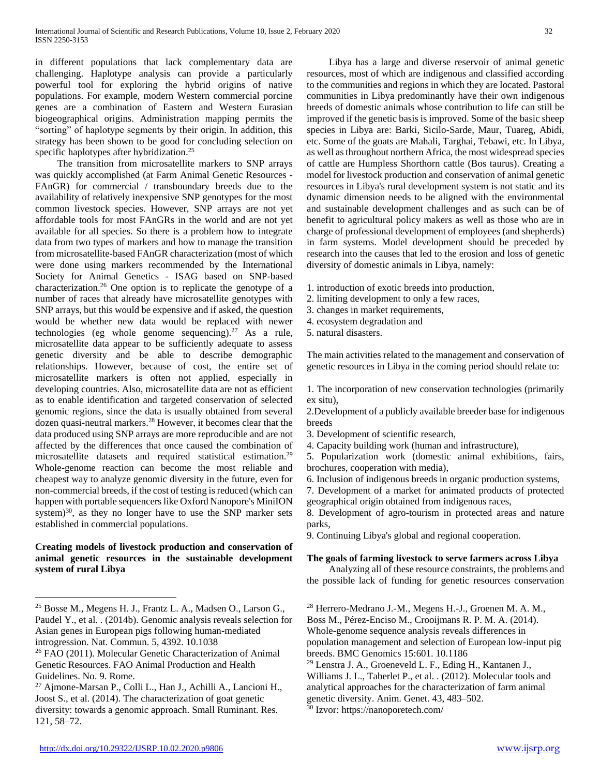in different populations that lack complementary data are challenging. Haplotype analysis can provide a particularly powerful tool for exploring the hybrid origins of native populations. For example, modern Western commercial porcine genes are a combination of Eastern and Western Eurasian biogeographical origins. Administration mapping permits the "sorting" of haplotype segments by their origin. In addition, this strategy has been shown to be good for concluding selection on specific haplotypes after hybridization.<sup>25</sup>

 The transition from microsatellite markers to SNP arrays was quickly accomplished (at Farm Animal Genetic Resources - FAnGR) for commercial / transboundary breeds due to the availability of relatively inexpensive SNP genotypes for the most common livestock species. However, SNP arrays are not yet affordable tools for most FAnGRs in the world and are not yet available for all species. So there is a problem how to integrate data from two types of markers and how to manage the transition from microsatellite-based FAnGR characterization (most of which were done using markers recommended by the International Society for Animal Genetics - ISAG based on SNP-based characterization.<sup>26</sup> One option is to replicate the genotype of a number of races that already have microsatellite genotypes with SNP arrays, but this would be expensive and if asked, the question would be whether new data would be replaced with newer technologies (eg whole genome sequencing).<sup>27</sup> As a rule, microsatellite data appear to be sufficiently adequate to assess genetic diversity and be able to describe demographic relationships. However, because of cost, the entire set of microsatellite markers is often not applied, especially in developing countries. Also, microsatellite data are not as efficient as to enable identification and targeted conservation of selected genomic regions, since the data is usually obtained from several dozen quasi-neutral markers.<sup>28</sup> However, it becomes clear that the data produced using SNP arrays are more reproducible and are not affected by the differences that once caused the combination of microsatellite datasets and required statistical estimation.<sup>29</sup> Whole-genome reaction can become the most reliable and cheapest way to analyze genomic diversity in the future, even for non-commercial breeds, if the cost of testing is reduced (which can happen with portable sequencers like Oxford Nanopore's MiniION system $30$ , as they no longer have to use the SNP marker sets established in commercial populations.

## **Creating models of livestock production and conservation of animal genetic resources in the sustainable development system of rural Libya**

 Libya has a large and diverse reservoir of animal genetic resources, most of which are indigenous and classified according to the communities and regions in which they are located. Pastoral communities in Libya predominantly have their own indigenous breeds of domestic animals whose contribution to life can still be improved if the genetic basis is improved. Some of the basic sheep species in Libya are: Barki, Sicilo-Sarde, Maur, Tuareg, Abidi, etc. Some of the goats are Mahali, Targhai, Tebawi, etc. In Libya, as well as throughout northern Africa, the most widespread species of cattle are Humpless Shorthorn cattle (Bos taurus). Creating a model for livestock production and conservation of animal genetic resources in Libya's rural development system is not static and its dynamic dimension needs to be aligned with the environmental and sustainable development challenges and as such can be of benefit to agricultural policy makers as well as those who are in charge of professional development of employees (and shepherds) in farm systems. Model development should be preceded by research into the causes that led to the erosion and loss of genetic diversity of domestic animals in Libya, namely:

- 1. introduction of exotic breeds into production,
- 2. limiting development to only a few races,
- 3. changes in market requirements,
- 4. ecosystem degradation and
- 5. natural disasters.

The main activities related to the management and conservation of genetic resources in Libya in the coming period should relate to:

1. The incorporation of new conservation technologies (primarily ex situ),

2.Development of a publicly available breeder base for indigenous breeds

3. Development of scientific research,

4. Capacity building work (human and infrastructure),

5. Popularization work (domestic animal exhibitions, fairs, brochures, cooperation with media),

6. Inclusion of indigenous breeds in organic production systems,

7. Development of a market for animated products of protected geographical origin obtained from indigenous races,

8. Development of agro-tourism in protected areas and nature parks,

9. Continuing Libya's global and regional cooperation.

#### **The goals of farming livestock to serve farmers across Libya**

 Analyzing all of these resource constraints, the problems and the possible lack of funding for genetic resources conservation

<sup>28</sup> Herrero-Medrano J.-M., Megens H.-J., Groenen M. A. M.,

Boss M., Pérez-Enciso M., Crooijmans R. P. M. A. (2014).

Whole-genome sequence analysis reveals differences in population management and selection of European low-input pig breeds. BMC Genomics 15:601. 10.1186

<sup>29</sup> Lenstra J. A., Groeneveld L. F., Eding H., Kantanen J., Williams J. L., Taberlet P., et al. . (2012). Molecular tools and analytical approaches for the characterization of farm animal genetic diversity. Anim. Genet. 43, 483–502.

<sup>30</sup> Izvor: https://nanoporetech.com/

 $\overline{a}$ 

<sup>25</sup> Bosse M., Megens H. J., Frantz L. A., Madsen O., Larson G., Paudel Y., et al. . (2014b). Genomic analysis reveals selection for Asian genes in European pigs following human-mediated introgression. Nat. Commun. 5, 4392. 10.1038

<sup>26</sup> FAO (2011). Molecular Genetic Characterization of Animal Genetic Resources. FAO Animal Production and Health Guidelines. No. 9. Rome.

<sup>27</sup> Ajmone-Marsan P., Colli L., Han J., Achilli A., Lancioni H., Joost S., et al. (2014). The characterization of goat genetic diversity: towards a genomic approach. Small Ruminant. Res. 121, 58–72.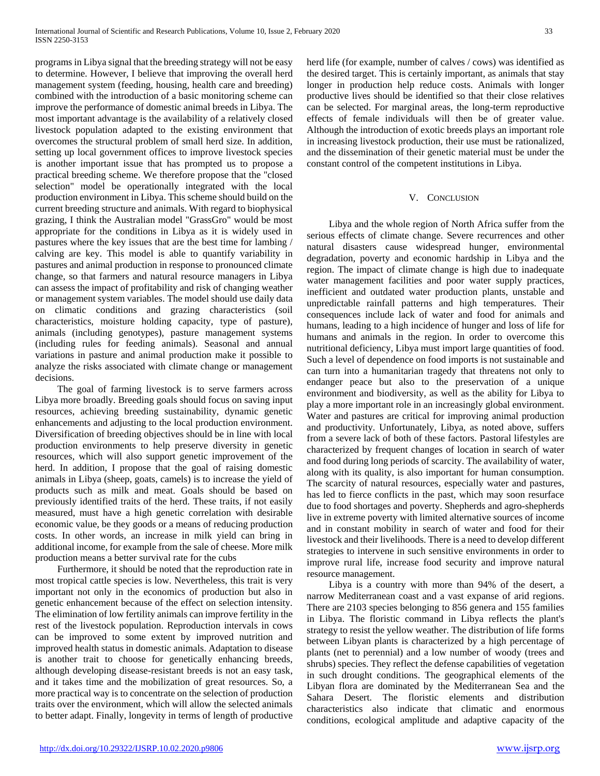programs in Libya signal that the breeding strategy will not be easy to determine. However, I believe that improving the overall herd management system (feeding, housing, health care and breeding) combined with the introduction of a basic monitoring scheme can improve the performance of domestic animal breeds in Libya. The most important advantage is the availability of a relatively closed livestock population adapted to the existing environment that overcomes the structural problem of small herd size. In addition, setting up local government offices to improve livestock species is another important issue that has prompted us to propose a practical breeding scheme. We therefore propose that the "closed selection" model be operationally integrated with the local production environment in Libya. This scheme should build on the current breeding structure and animals. With regard to biophysical grazing, I think the Australian model "GrassGro" would be most appropriate for the conditions in Libya as it is widely used in pastures where the key issues that are the best time for lambing / calving are key. This model is able to quantify variability in pastures and animal production in response to pronounced climate change, so that farmers and natural resource managers in Libya can assess the impact of profitability and risk of changing weather or management system variables. The model should use daily data on climatic conditions and grazing characteristics (soil characteristics, moisture holding capacity, type of pasture), animals (including genotypes), pasture management systems (including rules for feeding animals). Seasonal and annual variations in pasture and animal production make it possible to analyze the risks associated with climate change or management decisions.

 The goal of farming livestock is to serve farmers across Libya more broadly. Breeding goals should focus on saving input resources, achieving breeding sustainability, dynamic genetic enhancements and adjusting to the local production environment. Diversification of breeding objectives should be in line with local production environments to help preserve diversity in genetic resources, which will also support genetic improvement of the herd. In addition, I propose that the goal of raising domestic animals in Libya (sheep, goats, camels) is to increase the yield of products such as milk and meat. Goals should be based on previously identified traits of the herd. These traits, if not easily measured, must have a high genetic correlation with desirable economic value, be they goods or a means of reducing production costs. In other words, an increase in milk yield can bring in additional income, for example from the sale of cheese. More milk production means a better survival rate for the cubs

 Furthermore, it should be noted that the reproduction rate in most tropical cattle species is low. Nevertheless, this trait is very important not only in the economics of production but also in genetic enhancement because of the effect on selection intensity. The elimination of low fertility animals can improve fertility in the rest of the livestock population. Reproduction intervals in cows can be improved to some extent by improved nutrition and improved health status in domestic animals. Adaptation to disease is another trait to choose for genetically enhancing breeds, although developing disease-resistant breeds is not an easy task, and it takes time and the mobilization of great resources. So, a more practical way is to concentrate on the selection of production traits over the environment, which will allow the selected animals to better adapt. Finally, longevity in terms of length of productive herd life (for example, number of calves / cows) was identified as the desired target. This is certainly important, as animals that stay longer in production help reduce costs. Animals with longer productive lives should be identified so that their close relatives can be selected. For marginal areas, the long-term reproductive effects of female individuals will then be of greater value. Although the introduction of exotic breeds plays an important role in increasing livestock production, their use must be rationalized, and the dissemination of their genetic material must be under the constant control of the competent institutions in Libya.

#### V. CONCLUSION

 Libya and the whole region of North Africa suffer from the serious effects of climate change. Severe recurrences and other natural disasters cause widespread hunger, environmental degradation, poverty and economic hardship in Libya and the region. The impact of climate change is high due to inadequate water management facilities and poor water supply practices, inefficient and outdated water production plants, unstable and unpredictable rainfall patterns and high temperatures. Their consequences include lack of water and food for animals and humans, leading to a high incidence of hunger and loss of life for humans and animals in the region. In order to overcome this nutritional deficiency, Libya must import large quantities of food. Such a level of dependence on food imports is not sustainable and can turn into a humanitarian tragedy that threatens not only to endanger peace but also to the preservation of a unique environment and biodiversity, as well as the ability for Libya to play a more important role in an increasingly global environment. Water and pastures are critical for improving animal production and productivity. Unfortunately, Libya, as noted above, suffers from a severe lack of both of these factors. Pastoral lifestyles are characterized by frequent changes of location in search of water and food during long periods of scarcity. The availability of water, along with its quality, is also important for human consumption. The scarcity of natural resources, especially water and pastures, has led to fierce conflicts in the past, which may soon resurface due to food shortages and poverty. Shepherds and agro-shepherds live in extreme poverty with limited alternative sources of income and in constant mobility in search of water and food for their livestock and their livelihoods. There is a need to develop different strategies to intervene in such sensitive environments in order to improve rural life, increase food security and improve natural resource management.

 Libya is a country with more than 94% of the desert, a narrow Mediterranean coast and a vast expanse of arid regions. There are 2103 species belonging to 856 genera and 155 families in Libya. The floristic command in Libya reflects the plant's strategy to resist the yellow weather. The distribution of life forms between Libyan plants is characterized by a high percentage of plants (net to perennial) and a low number of woody (trees and shrubs) species. They reflect the defense capabilities of vegetation in such drought conditions. The geographical elements of the Libyan flora are dominated by the Mediterranean Sea and the Sahara Desert. The floristic elements and distribution characteristics also indicate that climatic and enormous conditions, ecological amplitude and adaptive capacity of the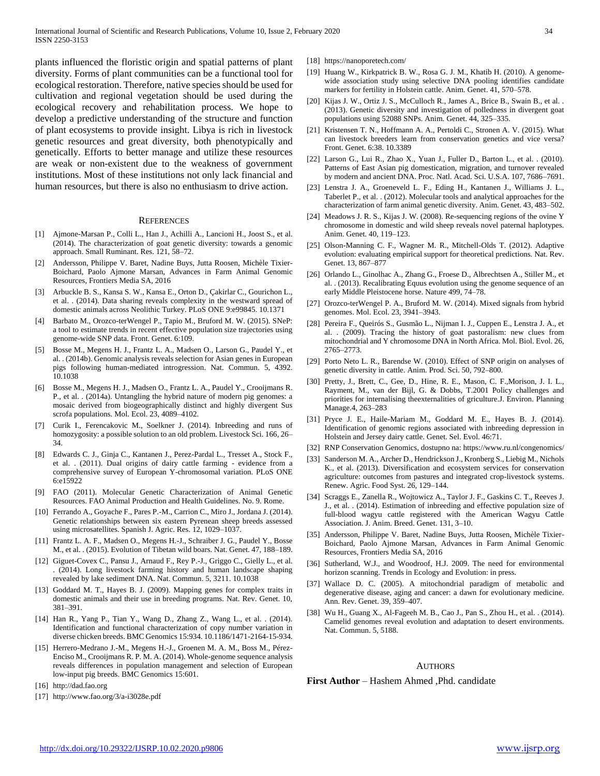plants influenced the floristic origin and spatial patterns of plant diversity. Forms of plant communities can be a functional tool for ecological restoration. Therefore, native species should be used for cultivation and regional vegetation should be used during the ecological recovery and rehabilitation process. We hope to develop a predictive understanding of the structure and function of plant ecosystems to provide insight. Libya is rich in livestock genetic resources and great diversity, both phenotypically and genetically. Efforts to better manage and utilize these resources are weak or non-existent due to the weakness of government institutions. Most of these institutions not only lack financial and human resources, but there is also no enthusiasm to drive action.

#### **REFERENCES**

- [1] Ajmone-Marsan P., Colli L., Han J., Achilli A., Lancioni H., Joost S., et al. (2014). The characterization of goat genetic diversity: towards a genomic approach. Small Ruminant. Res. 121, 58–72.
- [2] Andersson, Philippe V. Baret, Nadine Buys, Jutta Roosen, Michèle Tixier-Boichard, Paolo Ajmone Marsan, Advances in Farm Animal Genomic Resources, Frontiers Media SA, 2016
- [3] Arbuckle B. S., Kansa S. W., Kansa E., Orton D., Çakirlar C., Gourichon L., et al. . (2014). Data sharing reveals complexity in the westward spread of domestic animals across Neolithic Turkey. PLoS ONE 9:e99845. 10.1371
- [4] Barbato M., Orozco-terWengel P., Tapio M., Bruford M. W. (2015). SNeP: a tool to estimate trends in recent effective population size trajectories using genome-wide SNP data. Front. Genet. 6:109.
- [5] Bosse M., Megens H. J., Frantz L. A., Madsen O., Larson G., Paudel Y., et al. . (2014b). Genomic analysis reveals selection for Asian genes in European pigs following human-mediated introgression. Nat. Commun. 5, 4392. 10.1038
- [6] Bosse M., Megens H. J., Madsen O., Frantz L. A., Paudel Y., Crooijmans R. P., et al. . (2014a). Untangling the hybrid nature of modern pig genomes: a mosaic derived from biogeographically distinct and highly divergent Sus scrofa populations. Mol. Ecol. 23, 4089–4102.
- [7] Curik I., Ferencakovic M., Soelkner J. (2014). Inbreeding and runs of homozygosity: a possible solution to an old problem. Livestock Sci. 166, 26– 34.
- [8] Edwards C. J., Ginja C., Kantanen J., Perez-Pardal L., Tresset A., Stock F., et al. . (2011). Dual origins of dairy cattle farming - evidence from a comprehensive survey of European Y-chromosomal variation. PLoS ONE 6:e15922
- [9] FAO (2011). Molecular Genetic Characterization of Animal Genetic Resources. FAO Animal Production and Health Guidelines. No. 9. Rome.
- [10] Ferrando A., Goyache F., Pares P.-M., Carrion C., Miro J., Jordana J. (2014). Genetic relationships between six eastern Pyrenean sheep breeds assessed using microsatellites. Spanish J. Agric. Res. 12, 1029–1037.
- [11] Frantz L. A. F., Madsen O., Megens H.-J., Schraiber J. G., Paudel Y., Bosse M., et al. . (2015). Evolution of Tibetan wild boars. Nat. Genet. 47, 188–189.
- [12] Giguet-Covex C., Pansu J., Arnaud F., Rey P.-J., Griggo C., Gielly L., et al. . (2014). Long livestock farming history and human landscape shaping revealed by lake sediment DNA. Nat. Commun. 5, 3211. 10.1038
- [13] Goddard M. T., Hayes B. J. (2009). Mapping genes for complex traits in domestic animals and their use in breeding programs. Nat. Rev. Genet. 10, 381–391.
- [14] Han R., Yang P., Tian Y., Wang D., Zhang Z., Wang L., et al. . (2014). Identification and functional characterization of copy number variation in diverse chicken breeds. BMC Genomics 15:934. 10.1186/1471-2164-15-934.
- [15] Herrero-Medrano J.-M., Megens H.-J., Groenen M. A. M., Boss M., Pérez-Enciso M., Crooijmans R. P. M. A. (2014). Whole-genome sequence analysis reveals differences in population management and selection of European low-input pig breeds. BMC Genomics 15:601.
- [16] http://dad.fao.org
- [17] http://www.fao.org/3/a-i3028e.pdf
- [18] https://nanoporetech.com/
- [19] Huang W., Kirkpatrick B. W., Rosa G. J. M., Khatib H. (2010). A genomewide association study using selective DNA pooling identifies candidate markers for fertility in Holstein cattle. Anim. Genet. 41, 570–578.
- [20] Kijas J. W., Ortiz J. S., McCulloch R., James A., Brice B., Swain B., et al. . (2013). Genetic diversity and investigation of polledness in divergent goat populations using 52088 SNPs. Anim. Genet. 44, 325–335.
- [21] Kristensen T. N., Hoffmann A. A., Pertoldi C., Stronen A. V. (2015). What can livestock breeders learn from conservation genetics and vice versa? Front. Genet. 6:38. 10.3389
- [22] Larson G., Lui R., Zhao X., Yuan J., Fuller D., Barton L., et al. . (2010). Patterns of East Asian pig domestication, migration, and turnover revealed by modern and ancient DNA. Proc. Natl. Acad. Sci. U.S.A. 107, 7686–7691.
- [23] Lenstra J. A., Groeneveld L. F., Eding H., Kantanen J., Williams J. L., Taberlet P., et al. . (2012). Molecular tools and analytical approaches for the characterization of farm animal genetic diversity. Anim. Genet. 43, 483–502.
- [24] Meadows J. R. S., Kijas J. W. (2008). Re-sequencing regions of the ovine Y chromosome in domestic and wild sheep reveals novel paternal haplotypes. Anim. Genet. 40, 119–123.
- [25] Olson-Manning C. F., Wagner M. R., Mitchell-Olds T. (2012). Adaptive evolution: evaluating empirical support for theoretical predictions. Nat. Rev. Genet. 13, 867–877
- [26] Orlando L., Ginolhac A., Zhang G., Froese D., Albrechtsen A., Stiller M., et al. . (2013). Recalibrating Equus evolution using the genome sequence of an early Middle Pleistocene horse. Nature 499, 74–78.
- [27] Orozco-terWengel P. A., Bruford M. W. (2014). Mixed signals from hybrid genomes. Mol. Ecol. 23, 3941–3943.
- [28] Pereira F., Queirós S., Gusmão L., Nijman I. J., Cuppen E., Lenstra J. A., et al. . (2009). Tracing the history of goat pastoralism: new clues from mitochondrial and Y chromosome DNA in North Africa. Mol. Biol. Evol. 26, 2765–2773.
- [29] Porto Neto L. R., Barendse W. (2010). Effect of SNP origin on analyses of genetic diversity in cattle. Anim. Prod. Sci. 50, 792–800.
- [30] Pretty, J., Brett, C., Gee, D., Hine, R. E., Mason, C. F., Morison, J. I. L., Rayment, M., van der Bijl, G. & Dobbs, T.2001 Policy challenges and priorities for internalising theexternalities of griculture.J. Environ. Planning Manage.4, 263–283
- [31] Pryce J. E., Haile-Mariam M., Goddard M. E., Hayes B. J. (2014). Identification of genomic regions associated with inbreeding depression in Holstein and Jersey dairy cattle. Genet. Sel. Evol. 46:71.
- [32] RNP Conservation Genomics, dostupno na: https://www.ru.nl/congenomics/
- [33] Sanderson M. A., Archer D., Hendrickson J., Kronberg S., Liebig M., Nichols K., et al. (2013). Diversification and ecosystem services for conservation agriculture: outcomes from pastures and integrated crop-livestock systems. Renew. Agric. Food Syst. 26, 129–144.
- [34] Scraggs E., Zanella R., Wojtowicz A., Taylor J. F., Gaskins C. T., Reeves J. J., et al. . (2014). Estimation of inbreeding and effective population size of full-blood wagyu cattle registered with the American Wagyu Cattle Association. J. Anim. Breed. Genet. 131, 3–10.
- [35] Andersson, Philippe V. Baret, Nadine Buys, Jutta Roosen, Michèle Tixier-Boichard, Paolo Ajmone Marsan, Advances in Farm Animal Genomic Resources, Frontiers Media SA, 2016
- [36] Sutherland, W.J., and Woodroof, H.J. 2009. The need for environmental horizon scanning. Trends in Ecology and Evolution: in press.
- [37] Wallace D. C. (2005). A mitochondrial paradigm of metabolic and degenerative disease, aging and cancer: a dawn for evolutionary medicine. Ann. Rev. Genet. 39, 359–407.
- [38] Wu H., Guang X., Al-Fageeh M. B., Cao J., Pan S., Zhou H., et al. . (2014). Camelid genomes reveal evolution and adaptation to desert environments. Nat. Commun. 5, 5188.

#### **AUTHORS**

**First Author** – Hashem Ahmed ,Phd. candidate